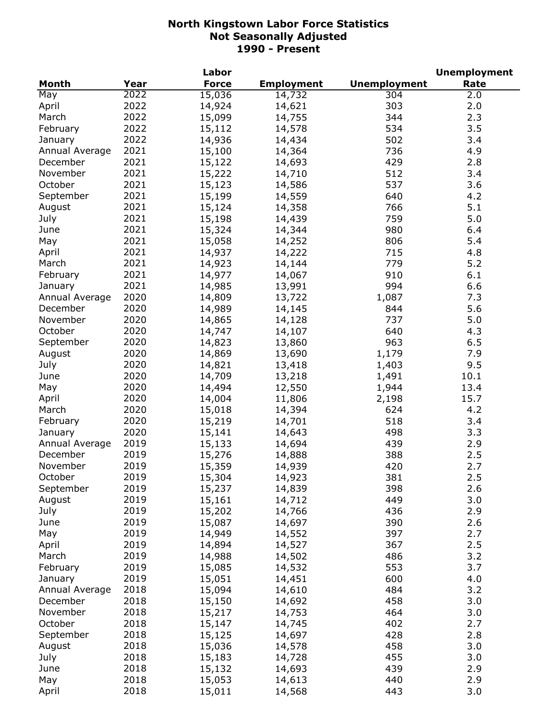|                |      | Labor        |                   |                     | <b>Unemployment</b> |
|----------------|------|--------------|-------------------|---------------------|---------------------|
| Month          | Year | <b>Force</b> | <b>Employment</b> | <b>Unemployment</b> | Rate                |
| May            | 2022 | 15,036       | 14,732            | 304                 | 2.0                 |
| April          | 2022 | 14,924       | 14,621            | 303                 | 2.0                 |
| March          | 2022 | 15,099       | 14,755            | 344                 | 2.3                 |
| February       | 2022 | 15,112       | 14,578            | 534                 | 3.5                 |
| January        | 2022 | 14,936       | 14,434            | 502                 | 3.4                 |
| Annual Average | 2021 | 15,100       | 14,364            | 736                 | 4.9                 |
| December       | 2021 | 15,122       | 14,693            | 429                 | 2.8                 |
| November       | 2021 | 15,222       | 14,710            | 512                 | 3.4                 |
| October        | 2021 | 15,123       | 14,586            | 537                 | 3.6                 |
| September      | 2021 | 15,199       | 14,559            | 640                 | 4.2                 |
|                | 2021 | 15,124       | 14,358            | 766                 | 5.1                 |
| August         | 2021 |              |                   | 759                 | 5.0                 |
| July           |      | 15,198       | 14,439            |                     |                     |
| June           | 2021 | 15,324       | 14,344            | 980                 | 6.4                 |
| May            | 2021 | 15,058       | 14,252            | 806                 | 5.4                 |
| April          | 2021 | 14,937       | 14,222            | 715                 | 4.8                 |
| March          | 2021 | 14,923       | 14,144            | 779                 | 5.2                 |
| February       | 2021 | 14,977       | 14,067            | 910                 | 6.1                 |
| January        | 2021 | 14,985       | 13,991            | 994                 | 6.6                 |
| Annual Average | 2020 | 14,809       | 13,722            | 1,087               | 7.3                 |
| December       | 2020 | 14,989       | 14,145            | 844                 | 5.6                 |
| November       | 2020 | 14,865       | 14,128            | 737                 | 5.0                 |
| October        | 2020 | 14,747       | 14,107            | 640                 | 4.3                 |
| September      | 2020 | 14,823       | 13,860            | 963                 | 6.5                 |
| August         | 2020 | 14,869       | 13,690            | 1,179               | 7.9                 |
| July           | 2020 | 14,821       | 13,418            | 1,403               | 9.5                 |
| June           | 2020 | 14,709       | 13,218            | 1,491               | 10.1                |
| May            | 2020 | 14,494       | 12,550            | 1,944               | 13.4                |
| April          | 2020 | 14,004       | 11,806            | 2,198               | 15.7                |
| March          | 2020 | 15,018       | 14,394            | 624                 | 4.2                 |
| February       | 2020 | 15,219       | 14,701            | 518                 | 3.4                 |
| January        | 2020 | 15,141       | 14,643            | 498                 | 3.3                 |
| Annual Average | 2019 | 15,133       | 14,694            | 439                 | 2.9                 |
| December       | 2019 | 15,276       | 14,888            | 388                 | 2.5                 |
| November       | 2019 | 15,359       | 14,939            | 420                 | 2.7                 |
| October        | 2019 | 15,304       | 14,923            | 381                 | 2.5                 |
| September      | 2019 | 15,237       | 14,839            | 398                 | 2.6                 |
| August         | 2019 | 15,161       | 14,712            | 449                 | 3.0                 |
| July           | 2019 | 15,202       | 14,766            | 436                 | 2.9                 |
| June           | 2019 | 15,087       | 14,697            | 390                 | 2.6                 |
| May            | 2019 | 14,949       | 14,552            | 397                 | 2.7                 |
|                | 2019 |              |                   | 367                 | 2.5                 |
| April          |      | 14,894       | 14,527            |                     | 3.2                 |
| March          | 2019 | 14,988       | 14,502            | 486                 |                     |
| February       | 2019 | 15,085       | 14,532            | 553                 | 3.7                 |
| January        | 2019 | 15,051       | 14,451            | 600                 | 4.0                 |
| Annual Average | 2018 | 15,094       | 14,610            | 484                 | 3.2                 |
| December       | 2018 | 15,150       | 14,692            | 458                 | 3.0                 |
| November       | 2018 | 15,217       | 14,753            | 464                 | 3.0                 |
| October        | 2018 | 15,147       | 14,745            | 402                 | 2.7                 |
| September      | 2018 | 15,125       | 14,697            | 428                 | 2.8                 |
| August         | 2018 | 15,036       | 14,578            | 458                 | 3.0                 |
| July           | 2018 | 15,183       | 14,728            | 455                 | 3.0                 |
| June           | 2018 | 15,132       | 14,693            | 439                 | 2.9                 |
| May            | 2018 | 15,053       | 14,613            | 440                 | 2.9                 |
| April          | 2018 | 15,011       | 14,568            | 443                 | 3.0                 |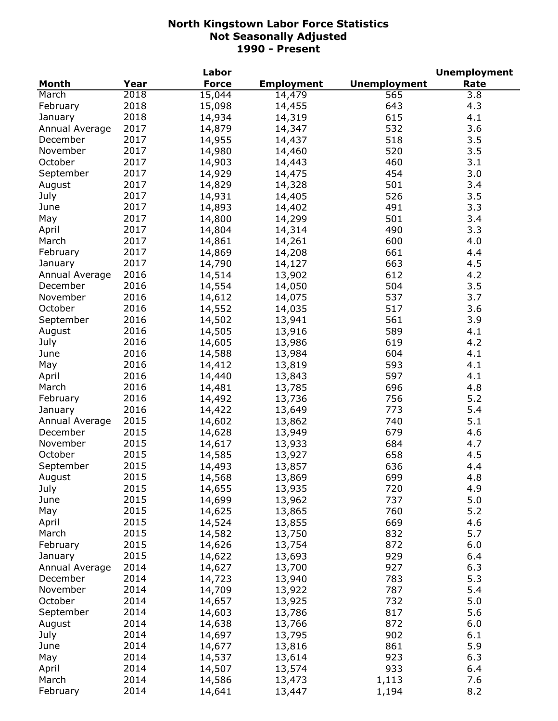| <b>Unemployment</b><br><b>Month</b><br>Year<br><b>Force</b><br>Rate<br><b>Employment</b><br>2018<br>15,044<br>565<br>3.8<br>March<br>14,479<br>2018<br>February<br>643<br>15,098<br>4.3<br>14,455<br>2018<br>615<br>January<br>14,934<br>14,319<br>4.1<br>2017<br>532<br>3.6<br>Annual Average<br>14,879<br>14,347<br>2017<br>518<br>3.5<br>December<br>14,955<br>14,437<br>2017<br>November<br>14,980<br>520<br>3.5<br>14,460<br>2017<br>October<br>14,903<br>460<br>3.1<br>14,443<br>2017<br>14,929<br>14,475<br>454<br>3.0<br>September<br>501<br>2017<br>14,829<br>14,328<br>3.4<br>August<br>526<br>July<br>2017<br>14,931<br>14,405<br>3.5<br>2017<br>14,893<br>491<br>3.3<br>June<br>14,402<br>2017<br>14,800<br>14,299<br>501<br>3.4<br>May<br>2017<br>14,804<br>14,314<br>490<br>3.3<br>April<br>2017<br>600<br>4.0<br>14,861<br>14,261<br>March<br>2017<br>14,869<br>661<br>4.4<br>February<br>14,208<br>2017<br>663<br>14,790<br>4.5<br>14,127<br>January<br>2016<br>612<br>14,514<br>4.2<br>Annual Average<br>13,902<br>504<br>3.5<br>2016<br>14,554<br>December<br>14,050<br>2016<br>November<br>14,612<br>537<br>3.7<br>14,075<br>2016<br>3.6<br>October<br>14,552<br>517<br>14,035<br>2016<br>September<br>14,502<br>13,941<br>561<br>3.9<br>2016<br>14,505<br>589<br>4.1<br>August<br>13,916<br>2016<br>14,605<br>619<br>4.2<br>July<br>13,986<br>2016<br>604<br>4.1<br>June<br>14,588<br>13,984<br>2016<br>593<br>14,412<br>4.1<br>May<br>13,819<br>2016<br>597<br>14,440<br>13,843<br>4.1<br>April<br>2016<br>696<br>14,481<br>13,785<br>4.8<br>March<br>2016<br>5.2<br>14,492<br>13,736<br>756<br>February<br>2016<br>5.4<br>14,422<br>773<br>13,649<br>January<br>5.1<br>2015<br>14,602<br>740<br>Annual Average<br>13,862<br>December<br>2015<br>679<br>4.6<br>14,628<br>13,949<br>2015<br>November<br>684<br>14,617<br>13,933<br>4.7<br>October<br>2015<br>658<br>4.5<br>14,585<br>13,927<br>2015<br>September<br>636<br>14,493<br>13,857<br>4.4<br>August<br>2015<br>14,568<br>13,869<br>699<br>4.8<br>2015<br>720<br>July<br>14,655<br>13,935<br>4.9<br>2015<br>5.0<br>737<br>June<br>14,699<br>13,962<br>2015<br>760<br>5.2<br>May<br>14,625<br>13,865<br>2015<br>669<br>14,524<br>13,855<br>4.6<br>April<br>2015<br>832<br>5.7<br>March<br>14,582<br>13,750<br>2015<br>872<br>February<br>14,626<br>6.0<br>13,754<br>2015<br>929<br>14,622<br>13,693<br>6.4<br>January<br>2014<br>927<br>6.3<br>Annual Average<br>14,627<br>13,700<br>5.3<br>2014<br>14,723<br>783<br>December<br>13,940<br>2014<br>14,709<br>787<br>5.4<br>November<br>13,922<br>October<br>2014<br>14,657<br>732<br>5.0<br>13,925<br>2014<br>14,603<br>817<br>5.6<br>September<br>13,786<br>872<br>2014<br>6.0<br>August<br>14,638<br>13,766<br>902<br>July<br>2014<br>6.1<br>14,697<br>13,795<br>2014<br>861<br>5.9<br>June<br>14,677<br>13,816<br>May<br>2014<br>923<br>6.3<br>13,614<br>14,537<br>2014<br>933<br>April<br>14,507<br>6.4<br>13,574<br>March<br>2014<br>7.6<br>14,586<br>13,473<br>1,113 |          |      | Labor  |        |       | <b>Unemployment</b> |
|-------------------------------------------------------------------------------------------------------------------------------------------------------------------------------------------------------------------------------------------------------------------------------------------------------------------------------------------------------------------------------------------------------------------------------------------------------------------------------------------------------------------------------------------------------------------------------------------------------------------------------------------------------------------------------------------------------------------------------------------------------------------------------------------------------------------------------------------------------------------------------------------------------------------------------------------------------------------------------------------------------------------------------------------------------------------------------------------------------------------------------------------------------------------------------------------------------------------------------------------------------------------------------------------------------------------------------------------------------------------------------------------------------------------------------------------------------------------------------------------------------------------------------------------------------------------------------------------------------------------------------------------------------------------------------------------------------------------------------------------------------------------------------------------------------------------------------------------------------------------------------------------------------------------------------------------------------------------------------------------------------------------------------------------------------------------------------------------------------------------------------------------------------------------------------------------------------------------------------------------------------------------------------------------------------------------------------------------------------------------------------------------------------------------------------------------------------------------------------------------------------------------------------------------------------------------------------------------------------------------------------------------------------------------------------------------------------------------------------------------------------------------------------------------------------------------------------------------------------------------------------------------------------------------------------------------------------------------------------------------------------|----------|------|--------|--------|-------|---------------------|
|                                                                                                                                                                                                                                                                                                                                                                                                                                                                                                                                                                                                                                                                                                                                                                                                                                                                                                                                                                                                                                                                                                                                                                                                                                                                                                                                                                                                                                                                                                                                                                                                                                                                                                                                                                                                                                                                                                                                                                                                                                                                                                                                                                                                                                                                                                                                                                                                                                                                                                                                                                                                                                                                                                                                                                                                                                                                                                                                                                                                       |          |      |        |        |       |                     |
|                                                                                                                                                                                                                                                                                                                                                                                                                                                                                                                                                                                                                                                                                                                                                                                                                                                                                                                                                                                                                                                                                                                                                                                                                                                                                                                                                                                                                                                                                                                                                                                                                                                                                                                                                                                                                                                                                                                                                                                                                                                                                                                                                                                                                                                                                                                                                                                                                                                                                                                                                                                                                                                                                                                                                                                                                                                                                                                                                                                                       |          |      |        |        |       |                     |
|                                                                                                                                                                                                                                                                                                                                                                                                                                                                                                                                                                                                                                                                                                                                                                                                                                                                                                                                                                                                                                                                                                                                                                                                                                                                                                                                                                                                                                                                                                                                                                                                                                                                                                                                                                                                                                                                                                                                                                                                                                                                                                                                                                                                                                                                                                                                                                                                                                                                                                                                                                                                                                                                                                                                                                                                                                                                                                                                                                                                       |          |      |        |        |       |                     |
|                                                                                                                                                                                                                                                                                                                                                                                                                                                                                                                                                                                                                                                                                                                                                                                                                                                                                                                                                                                                                                                                                                                                                                                                                                                                                                                                                                                                                                                                                                                                                                                                                                                                                                                                                                                                                                                                                                                                                                                                                                                                                                                                                                                                                                                                                                                                                                                                                                                                                                                                                                                                                                                                                                                                                                                                                                                                                                                                                                                                       |          |      |        |        |       |                     |
|                                                                                                                                                                                                                                                                                                                                                                                                                                                                                                                                                                                                                                                                                                                                                                                                                                                                                                                                                                                                                                                                                                                                                                                                                                                                                                                                                                                                                                                                                                                                                                                                                                                                                                                                                                                                                                                                                                                                                                                                                                                                                                                                                                                                                                                                                                                                                                                                                                                                                                                                                                                                                                                                                                                                                                                                                                                                                                                                                                                                       |          |      |        |        |       |                     |
|                                                                                                                                                                                                                                                                                                                                                                                                                                                                                                                                                                                                                                                                                                                                                                                                                                                                                                                                                                                                                                                                                                                                                                                                                                                                                                                                                                                                                                                                                                                                                                                                                                                                                                                                                                                                                                                                                                                                                                                                                                                                                                                                                                                                                                                                                                                                                                                                                                                                                                                                                                                                                                                                                                                                                                                                                                                                                                                                                                                                       |          |      |        |        |       |                     |
|                                                                                                                                                                                                                                                                                                                                                                                                                                                                                                                                                                                                                                                                                                                                                                                                                                                                                                                                                                                                                                                                                                                                                                                                                                                                                                                                                                                                                                                                                                                                                                                                                                                                                                                                                                                                                                                                                                                                                                                                                                                                                                                                                                                                                                                                                                                                                                                                                                                                                                                                                                                                                                                                                                                                                                                                                                                                                                                                                                                                       |          |      |        |        |       |                     |
|                                                                                                                                                                                                                                                                                                                                                                                                                                                                                                                                                                                                                                                                                                                                                                                                                                                                                                                                                                                                                                                                                                                                                                                                                                                                                                                                                                                                                                                                                                                                                                                                                                                                                                                                                                                                                                                                                                                                                                                                                                                                                                                                                                                                                                                                                                                                                                                                                                                                                                                                                                                                                                                                                                                                                                                                                                                                                                                                                                                                       |          |      |        |        |       |                     |
|                                                                                                                                                                                                                                                                                                                                                                                                                                                                                                                                                                                                                                                                                                                                                                                                                                                                                                                                                                                                                                                                                                                                                                                                                                                                                                                                                                                                                                                                                                                                                                                                                                                                                                                                                                                                                                                                                                                                                                                                                                                                                                                                                                                                                                                                                                                                                                                                                                                                                                                                                                                                                                                                                                                                                                                                                                                                                                                                                                                                       |          |      |        |        |       |                     |
|                                                                                                                                                                                                                                                                                                                                                                                                                                                                                                                                                                                                                                                                                                                                                                                                                                                                                                                                                                                                                                                                                                                                                                                                                                                                                                                                                                                                                                                                                                                                                                                                                                                                                                                                                                                                                                                                                                                                                                                                                                                                                                                                                                                                                                                                                                                                                                                                                                                                                                                                                                                                                                                                                                                                                                                                                                                                                                                                                                                                       |          |      |        |        |       |                     |
|                                                                                                                                                                                                                                                                                                                                                                                                                                                                                                                                                                                                                                                                                                                                                                                                                                                                                                                                                                                                                                                                                                                                                                                                                                                                                                                                                                                                                                                                                                                                                                                                                                                                                                                                                                                                                                                                                                                                                                                                                                                                                                                                                                                                                                                                                                                                                                                                                                                                                                                                                                                                                                                                                                                                                                                                                                                                                                                                                                                                       |          |      |        |        |       |                     |
|                                                                                                                                                                                                                                                                                                                                                                                                                                                                                                                                                                                                                                                                                                                                                                                                                                                                                                                                                                                                                                                                                                                                                                                                                                                                                                                                                                                                                                                                                                                                                                                                                                                                                                                                                                                                                                                                                                                                                                                                                                                                                                                                                                                                                                                                                                                                                                                                                                                                                                                                                                                                                                                                                                                                                                                                                                                                                                                                                                                                       |          |      |        |        |       |                     |
|                                                                                                                                                                                                                                                                                                                                                                                                                                                                                                                                                                                                                                                                                                                                                                                                                                                                                                                                                                                                                                                                                                                                                                                                                                                                                                                                                                                                                                                                                                                                                                                                                                                                                                                                                                                                                                                                                                                                                                                                                                                                                                                                                                                                                                                                                                                                                                                                                                                                                                                                                                                                                                                                                                                                                                                                                                                                                                                                                                                                       |          |      |        |        |       |                     |
|                                                                                                                                                                                                                                                                                                                                                                                                                                                                                                                                                                                                                                                                                                                                                                                                                                                                                                                                                                                                                                                                                                                                                                                                                                                                                                                                                                                                                                                                                                                                                                                                                                                                                                                                                                                                                                                                                                                                                                                                                                                                                                                                                                                                                                                                                                                                                                                                                                                                                                                                                                                                                                                                                                                                                                                                                                                                                                                                                                                                       |          |      |        |        |       |                     |
|                                                                                                                                                                                                                                                                                                                                                                                                                                                                                                                                                                                                                                                                                                                                                                                                                                                                                                                                                                                                                                                                                                                                                                                                                                                                                                                                                                                                                                                                                                                                                                                                                                                                                                                                                                                                                                                                                                                                                                                                                                                                                                                                                                                                                                                                                                                                                                                                                                                                                                                                                                                                                                                                                                                                                                                                                                                                                                                                                                                                       |          |      |        |        |       |                     |
|                                                                                                                                                                                                                                                                                                                                                                                                                                                                                                                                                                                                                                                                                                                                                                                                                                                                                                                                                                                                                                                                                                                                                                                                                                                                                                                                                                                                                                                                                                                                                                                                                                                                                                                                                                                                                                                                                                                                                                                                                                                                                                                                                                                                                                                                                                                                                                                                                                                                                                                                                                                                                                                                                                                                                                                                                                                                                                                                                                                                       |          |      |        |        |       |                     |
|                                                                                                                                                                                                                                                                                                                                                                                                                                                                                                                                                                                                                                                                                                                                                                                                                                                                                                                                                                                                                                                                                                                                                                                                                                                                                                                                                                                                                                                                                                                                                                                                                                                                                                                                                                                                                                                                                                                                                                                                                                                                                                                                                                                                                                                                                                                                                                                                                                                                                                                                                                                                                                                                                                                                                                                                                                                                                                                                                                                                       |          |      |        |        |       |                     |
|                                                                                                                                                                                                                                                                                                                                                                                                                                                                                                                                                                                                                                                                                                                                                                                                                                                                                                                                                                                                                                                                                                                                                                                                                                                                                                                                                                                                                                                                                                                                                                                                                                                                                                                                                                                                                                                                                                                                                                                                                                                                                                                                                                                                                                                                                                                                                                                                                                                                                                                                                                                                                                                                                                                                                                                                                                                                                                                                                                                                       |          |      |        |        |       |                     |
|                                                                                                                                                                                                                                                                                                                                                                                                                                                                                                                                                                                                                                                                                                                                                                                                                                                                                                                                                                                                                                                                                                                                                                                                                                                                                                                                                                                                                                                                                                                                                                                                                                                                                                                                                                                                                                                                                                                                                                                                                                                                                                                                                                                                                                                                                                                                                                                                                                                                                                                                                                                                                                                                                                                                                                                                                                                                                                                                                                                                       |          |      |        |        |       |                     |
|                                                                                                                                                                                                                                                                                                                                                                                                                                                                                                                                                                                                                                                                                                                                                                                                                                                                                                                                                                                                                                                                                                                                                                                                                                                                                                                                                                                                                                                                                                                                                                                                                                                                                                                                                                                                                                                                                                                                                                                                                                                                                                                                                                                                                                                                                                                                                                                                                                                                                                                                                                                                                                                                                                                                                                                                                                                                                                                                                                                                       |          |      |        |        |       |                     |
|                                                                                                                                                                                                                                                                                                                                                                                                                                                                                                                                                                                                                                                                                                                                                                                                                                                                                                                                                                                                                                                                                                                                                                                                                                                                                                                                                                                                                                                                                                                                                                                                                                                                                                                                                                                                                                                                                                                                                                                                                                                                                                                                                                                                                                                                                                                                                                                                                                                                                                                                                                                                                                                                                                                                                                                                                                                                                                                                                                                                       |          |      |        |        |       |                     |
|                                                                                                                                                                                                                                                                                                                                                                                                                                                                                                                                                                                                                                                                                                                                                                                                                                                                                                                                                                                                                                                                                                                                                                                                                                                                                                                                                                                                                                                                                                                                                                                                                                                                                                                                                                                                                                                                                                                                                                                                                                                                                                                                                                                                                                                                                                                                                                                                                                                                                                                                                                                                                                                                                                                                                                                                                                                                                                                                                                                                       |          |      |        |        |       |                     |
|                                                                                                                                                                                                                                                                                                                                                                                                                                                                                                                                                                                                                                                                                                                                                                                                                                                                                                                                                                                                                                                                                                                                                                                                                                                                                                                                                                                                                                                                                                                                                                                                                                                                                                                                                                                                                                                                                                                                                                                                                                                                                                                                                                                                                                                                                                                                                                                                                                                                                                                                                                                                                                                                                                                                                                                                                                                                                                                                                                                                       |          |      |        |        |       |                     |
|                                                                                                                                                                                                                                                                                                                                                                                                                                                                                                                                                                                                                                                                                                                                                                                                                                                                                                                                                                                                                                                                                                                                                                                                                                                                                                                                                                                                                                                                                                                                                                                                                                                                                                                                                                                                                                                                                                                                                                                                                                                                                                                                                                                                                                                                                                                                                                                                                                                                                                                                                                                                                                                                                                                                                                                                                                                                                                                                                                                                       |          |      |        |        |       |                     |
|                                                                                                                                                                                                                                                                                                                                                                                                                                                                                                                                                                                                                                                                                                                                                                                                                                                                                                                                                                                                                                                                                                                                                                                                                                                                                                                                                                                                                                                                                                                                                                                                                                                                                                                                                                                                                                                                                                                                                                                                                                                                                                                                                                                                                                                                                                                                                                                                                                                                                                                                                                                                                                                                                                                                                                                                                                                                                                                                                                                                       |          |      |        |        |       |                     |
|                                                                                                                                                                                                                                                                                                                                                                                                                                                                                                                                                                                                                                                                                                                                                                                                                                                                                                                                                                                                                                                                                                                                                                                                                                                                                                                                                                                                                                                                                                                                                                                                                                                                                                                                                                                                                                                                                                                                                                                                                                                                                                                                                                                                                                                                                                                                                                                                                                                                                                                                                                                                                                                                                                                                                                                                                                                                                                                                                                                                       |          |      |        |        |       |                     |
|                                                                                                                                                                                                                                                                                                                                                                                                                                                                                                                                                                                                                                                                                                                                                                                                                                                                                                                                                                                                                                                                                                                                                                                                                                                                                                                                                                                                                                                                                                                                                                                                                                                                                                                                                                                                                                                                                                                                                                                                                                                                                                                                                                                                                                                                                                                                                                                                                                                                                                                                                                                                                                                                                                                                                                                                                                                                                                                                                                                                       |          |      |        |        |       |                     |
|                                                                                                                                                                                                                                                                                                                                                                                                                                                                                                                                                                                                                                                                                                                                                                                                                                                                                                                                                                                                                                                                                                                                                                                                                                                                                                                                                                                                                                                                                                                                                                                                                                                                                                                                                                                                                                                                                                                                                                                                                                                                                                                                                                                                                                                                                                                                                                                                                                                                                                                                                                                                                                                                                                                                                                                                                                                                                                                                                                                                       |          |      |        |        |       |                     |
|                                                                                                                                                                                                                                                                                                                                                                                                                                                                                                                                                                                                                                                                                                                                                                                                                                                                                                                                                                                                                                                                                                                                                                                                                                                                                                                                                                                                                                                                                                                                                                                                                                                                                                                                                                                                                                                                                                                                                                                                                                                                                                                                                                                                                                                                                                                                                                                                                                                                                                                                                                                                                                                                                                                                                                                                                                                                                                                                                                                                       |          |      |        |        |       |                     |
|                                                                                                                                                                                                                                                                                                                                                                                                                                                                                                                                                                                                                                                                                                                                                                                                                                                                                                                                                                                                                                                                                                                                                                                                                                                                                                                                                                                                                                                                                                                                                                                                                                                                                                                                                                                                                                                                                                                                                                                                                                                                                                                                                                                                                                                                                                                                                                                                                                                                                                                                                                                                                                                                                                                                                                                                                                                                                                                                                                                                       |          |      |        |        |       |                     |
|                                                                                                                                                                                                                                                                                                                                                                                                                                                                                                                                                                                                                                                                                                                                                                                                                                                                                                                                                                                                                                                                                                                                                                                                                                                                                                                                                                                                                                                                                                                                                                                                                                                                                                                                                                                                                                                                                                                                                                                                                                                                                                                                                                                                                                                                                                                                                                                                                                                                                                                                                                                                                                                                                                                                                                                                                                                                                                                                                                                                       |          |      |        |        |       |                     |
|                                                                                                                                                                                                                                                                                                                                                                                                                                                                                                                                                                                                                                                                                                                                                                                                                                                                                                                                                                                                                                                                                                                                                                                                                                                                                                                                                                                                                                                                                                                                                                                                                                                                                                                                                                                                                                                                                                                                                                                                                                                                                                                                                                                                                                                                                                                                                                                                                                                                                                                                                                                                                                                                                                                                                                                                                                                                                                                                                                                                       |          |      |        |        |       |                     |
|                                                                                                                                                                                                                                                                                                                                                                                                                                                                                                                                                                                                                                                                                                                                                                                                                                                                                                                                                                                                                                                                                                                                                                                                                                                                                                                                                                                                                                                                                                                                                                                                                                                                                                                                                                                                                                                                                                                                                                                                                                                                                                                                                                                                                                                                                                                                                                                                                                                                                                                                                                                                                                                                                                                                                                                                                                                                                                                                                                                                       |          |      |        |        |       |                     |
|                                                                                                                                                                                                                                                                                                                                                                                                                                                                                                                                                                                                                                                                                                                                                                                                                                                                                                                                                                                                                                                                                                                                                                                                                                                                                                                                                                                                                                                                                                                                                                                                                                                                                                                                                                                                                                                                                                                                                                                                                                                                                                                                                                                                                                                                                                                                                                                                                                                                                                                                                                                                                                                                                                                                                                                                                                                                                                                                                                                                       |          |      |        |        |       |                     |
|                                                                                                                                                                                                                                                                                                                                                                                                                                                                                                                                                                                                                                                                                                                                                                                                                                                                                                                                                                                                                                                                                                                                                                                                                                                                                                                                                                                                                                                                                                                                                                                                                                                                                                                                                                                                                                                                                                                                                                                                                                                                                                                                                                                                                                                                                                                                                                                                                                                                                                                                                                                                                                                                                                                                                                                                                                                                                                                                                                                                       |          |      |        |        |       |                     |
|                                                                                                                                                                                                                                                                                                                                                                                                                                                                                                                                                                                                                                                                                                                                                                                                                                                                                                                                                                                                                                                                                                                                                                                                                                                                                                                                                                                                                                                                                                                                                                                                                                                                                                                                                                                                                                                                                                                                                                                                                                                                                                                                                                                                                                                                                                                                                                                                                                                                                                                                                                                                                                                                                                                                                                                                                                                                                                                                                                                                       |          |      |        |        |       |                     |
|                                                                                                                                                                                                                                                                                                                                                                                                                                                                                                                                                                                                                                                                                                                                                                                                                                                                                                                                                                                                                                                                                                                                                                                                                                                                                                                                                                                                                                                                                                                                                                                                                                                                                                                                                                                                                                                                                                                                                                                                                                                                                                                                                                                                                                                                                                                                                                                                                                                                                                                                                                                                                                                                                                                                                                                                                                                                                                                                                                                                       |          |      |        |        |       |                     |
|                                                                                                                                                                                                                                                                                                                                                                                                                                                                                                                                                                                                                                                                                                                                                                                                                                                                                                                                                                                                                                                                                                                                                                                                                                                                                                                                                                                                                                                                                                                                                                                                                                                                                                                                                                                                                                                                                                                                                                                                                                                                                                                                                                                                                                                                                                                                                                                                                                                                                                                                                                                                                                                                                                                                                                                                                                                                                                                                                                                                       |          |      |        |        |       |                     |
|                                                                                                                                                                                                                                                                                                                                                                                                                                                                                                                                                                                                                                                                                                                                                                                                                                                                                                                                                                                                                                                                                                                                                                                                                                                                                                                                                                                                                                                                                                                                                                                                                                                                                                                                                                                                                                                                                                                                                                                                                                                                                                                                                                                                                                                                                                                                                                                                                                                                                                                                                                                                                                                                                                                                                                                                                                                                                                                                                                                                       |          |      |        |        |       |                     |
|                                                                                                                                                                                                                                                                                                                                                                                                                                                                                                                                                                                                                                                                                                                                                                                                                                                                                                                                                                                                                                                                                                                                                                                                                                                                                                                                                                                                                                                                                                                                                                                                                                                                                                                                                                                                                                                                                                                                                                                                                                                                                                                                                                                                                                                                                                                                                                                                                                                                                                                                                                                                                                                                                                                                                                                                                                                                                                                                                                                                       |          |      |        |        |       |                     |
|                                                                                                                                                                                                                                                                                                                                                                                                                                                                                                                                                                                                                                                                                                                                                                                                                                                                                                                                                                                                                                                                                                                                                                                                                                                                                                                                                                                                                                                                                                                                                                                                                                                                                                                                                                                                                                                                                                                                                                                                                                                                                                                                                                                                                                                                                                                                                                                                                                                                                                                                                                                                                                                                                                                                                                                                                                                                                                                                                                                                       |          |      |        |        |       |                     |
|                                                                                                                                                                                                                                                                                                                                                                                                                                                                                                                                                                                                                                                                                                                                                                                                                                                                                                                                                                                                                                                                                                                                                                                                                                                                                                                                                                                                                                                                                                                                                                                                                                                                                                                                                                                                                                                                                                                                                                                                                                                                                                                                                                                                                                                                                                                                                                                                                                                                                                                                                                                                                                                                                                                                                                                                                                                                                                                                                                                                       |          |      |        |        |       |                     |
|                                                                                                                                                                                                                                                                                                                                                                                                                                                                                                                                                                                                                                                                                                                                                                                                                                                                                                                                                                                                                                                                                                                                                                                                                                                                                                                                                                                                                                                                                                                                                                                                                                                                                                                                                                                                                                                                                                                                                                                                                                                                                                                                                                                                                                                                                                                                                                                                                                                                                                                                                                                                                                                                                                                                                                                                                                                                                                                                                                                                       |          |      |        |        |       |                     |
|                                                                                                                                                                                                                                                                                                                                                                                                                                                                                                                                                                                                                                                                                                                                                                                                                                                                                                                                                                                                                                                                                                                                                                                                                                                                                                                                                                                                                                                                                                                                                                                                                                                                                                                                                                                                                                                                                                                                                                                                                                                                                                                                                                                                                                                                                                                                                                                                                                                                                                                                                                                                                                                                                                                                                                                                                                                                                                                                                                                                       |          |      |        |        |       |                     |
|                                                                                                                                                                                                                                                                                                                                                                                                                                                                                                                                                                                                                                                                                                                                                                                                                                                                                                                                                                                                                                                                                                                                                                                                                                                                                                                                                                                                                                                                                                                                                                                                                                                                                                                                                                                                                                                                                                                                                                                                                                                                                                                                                                                                                                                                                                                                                                                                                                                                                                                                                                                                                                                                                                                                                                                                                                                                                                                                                                                                       |          |      |        |        |       |                     |
|                                                                                                                                                                                                                                                                                                                                                                                                                                                                                                                                                                                                                                                                                                                                                                                                                                                                                                                                                                                                                                                                                                                                                                                                                                                                                                                                                                                                                                                                                                                                                                                                                                                                                                                                                                                                                                                                                                                                                                                                                                                                                                                                                                                                                                                                                                                                                                                                                                                                                                                                                                                                                                                                                                                                                                                                                                                                                                                                                                                                       |          |      |        |        |       |                     |
|                                                                                                                                                                                                                                                                                                                                                                                                                                                                                                                                                                                                                                                                                                                                                                                                                                                                                                                                                                                                                                                                                                                                                                                                                                                                                                                                                                                                                                                                                                                                                                                                                                                                                                                                                                                                                                                                                                                                                                                                                                                                                                                                                                                                                                                                                                                                                                                                                                                                                                                                                                                                                                                                                                                                                                                                                                                                                                                                                                                                       |          |      |        |        |       |                     |
|                                                                                                                                                                                                                                                                                                                                                                                                                                                                                                                                                                                                                                                                                                                                                                                                                                                                                                                                                                                                                                                                                                                                                                                                                                                                                                                                                                                                                                                                                                                                                                                                                                                                                                                                                                                                                                                                                                                                                                                                                                                                                                                                                                                                                                                                                                                                                                                                                                                                                                                                                                                                                                                                                                                                                                                                                                                                                                                                                                                                       |          |      |        |        |       |                     |
|                                                                                                                                                                                                                                                                                                                                                                                                                                                                                                                                                                                                                                                                                                                                                                                                                                                                                                                                                                                                                                                                                                                                                                                                                                                                                                                                                                                                                                                                                                                                                                                                                                                                                                                                                                                                                                                                                                                                                                                                                                                                                                                                                                                                                                                                                                                                                                                                                                                                                                                                                                                                                                                                                                                                                                                                                                                                                                                                                                                                       |          |      |        |        |       |                     |
|                                                                                                                                                                                                                                                                                                                                                                                                                                                                                                                                                                                                                                                                                                                                                                                                                                                                                                                                                                                                                                                                                                                                                                                                                                                                                                                                                                                                                                                                                                                                                                                                                                                                                                                                                                                                                                                                                                                                                                                                                                                                                                                                                                                                                                                                                                                                                                                                                                                                                                                                                                                                                                                                                                                                                                                                                                                                                                                                                                                                       |          |      |        |        |       |                     |
|                                                                                                                                                                                                                                                                                                                                                                                                                                                                                                                                                                                                                                                                                                                                                                                                                                                                                                                                                                                                                                                                                                                                                                                                                                                                                                                                                                                                                                                                                                                                                                                                                                                                                                                                                                                                                                                                                                                                                                                                                                                                                                                                                                                                                                                                                                                                                                                                                                                                                                                                                                                                                                                                                                                                                                                                                                                                                                                                                                                                       |          |      |        |        |       |                     |
|                                                                                                                                                                                                                                                                                                                                                                                                                                                                                                                                                                                                                                                                                                                                                                                                                                                                                                                                                                                                                                                                                                                                                                                                                                                                                                                                                                                                                                                                                                                                                                                                                                                                                                                                                                                                                                                                                                                                                                                                                                                                                                                                                                                                                                                                                                                                                                                                                                                                                                                                                                                                                                                                                                                                                                                                                                                                                                                                                                                                       |          |      |        |        |       |                     |
|                                                                                                                                                                                                                                                                                                                                                                                                                                                                                                                                                                                                                                                                                                                                                                                                                                                                                                                                                                                                                                                                                                                                                                                                                                                                                                                                                                                                                                                                                                                                                                                                                                                                                                                                                                                                                                                                                                                                                                                                                                                                                                                                                                                                                                                                                                                                                                                                                                                                                                                                                                                                                                                                                                                                                                                                                                                                                                                                                                                                       |          |      |        |        |       |                     |
|                                                                                                                                                                                                                                                                                                                                                                                                                                                                                                                                                                                                                                                                                                                                                                                                                                                                                                                                                                                                                                                                                                                                                                                                                                                                                                                                                                                                                                                                                                                                                                                                                                                                                                                                                                                                                                                                                                                                                                                                                                                                                                                                                                                                                                                                                                                                                                                                                                                                                                                                                                                                                                                                                                                                                                                                                                                                                                                                                                                                       |          |      |        |        |       |                     |
|                                                                                                                                                                                                                                                                                                                                                                                                                                                                                                                                                                                                                                                                                                                                                                                                                                                                                                                                                                                                                                                                                                                                                                                                                                                                                                                                                                                                                                                                                                                                                                                                                                                                                                                                                                                                                                                                                                                                                                                                                                                                                                                                                                                                                                                                                                                                                                                                                                                                                                                                                                                                                                                                                                                                                                                                                                                                                                                                                                                                       |          |      |        |        |       |                     |
|                                                                                                                                                                                                                                                                                                                                                                                                                                                                                                                                                                                                                                                                                                                                                                                                                                                                                                                                                                                                                                                                                                                                                                                                                                                                                                                                                                                                                                                                                                                                                                                                                                                                                                                                                                                                                                                                                                                                                                                                                                                                                                                                                                                                                                                                                                                                                                                                                                                                                                                                                                                                                                                                                                                                                                                                                                                                                                                                                                                                       | February | 2014 | 14,641 | 13,447 | 1,194 | 8.2                 |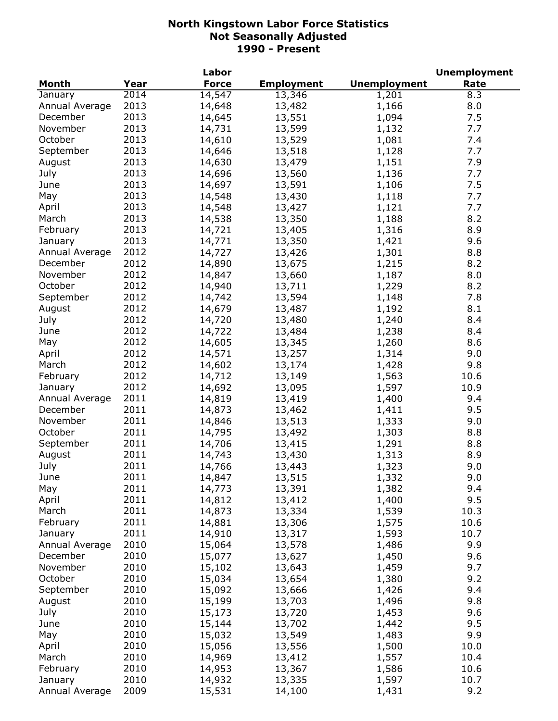|                |      | Labor        |                   |                     | <b>Unemployment</b> |
|----------------|------|--------------|-------------------|---------------------|---------------------|
| <b>Month</b>   | Year | <b>Force</b> | <b>Employment</b> | <b>Unemployment</b> | Rate                |
| January        | 2014 | 14,547       | 13,346            | 1,201               | 8.3                 |
| Annual Average | 2013 | 14,648       | 13,482            | 1,166               | 8.0                 |
| December       | 2013 | 14,645       | 13,551            | 1,094               | 7.5                 |
| November       | 2013 | 14,731       | 13,599            | 1,132               | 7.7                 |
| October        | 2013 | 14,610       | 13,529            | 1,081               | 7.4                 |
| September      | 2013 | 14,646       | 13,518            | 1,128               | 7.7                 |
| August         | 2013 | 14,630       | 13,479            | 1,151               | 7.9                 |
| July           | 2013 | 14,696       | 13,560            | 1,136               | 7.7                 |
| June           | 2013 | 14,697       | 13,591            | 1,106               | 7.5                 |
| May            | 2013 | 14,548       | 13,430            | 1,118               | 7.7                 |
| April          | 2013 | 14,548       | 13,427            | 1,121               | 7.7                 |
| March          | 2013 | 14,538       | 13,350            | 1,188               | 8.2                 |
| February       | 2013 | 14,721       | 13,405            | 1,316               | 8.9                 |
| January        | 2013 | 14,771       | 13,350            | 1,421               | 9.6                 |
| Annual Average | 2012 | 14,727       | 13,426            | 1,301               | 8.8                 |
| December       | 2012 | 14,890       | 13,675            |                     | 8.2                 |
| November       | 2012 |              |                   | 1,215               |                     |
|                |      | 14,847       | 13,660            | 1,187               | 8.0                 |
| October        | 2012 | 14,940       | 13,711            | 1,229               | 8.2                 |
| September      | 2012 | 14,742       | 13,594            | 1,148               | 7.8                 |
| August         | 2012 | 14,679       | 13,487            | 1,192               | 8.1                 |
| July           | 2012 | 14,720       | 13,480            | 1,240               | 8.4                 |
| June           | 2012 | 14,722       | 13,484            | 1,238               | 8.4                 |
| May            | 2012 | 14,605       | 13,345            | 1,260               | 8.6                 |
| April          | 2012 | 14,571       | 13,257            | 1,314               | 9.0                 |
| March          | 2012 | 14,602       | 13,174            | 1,428               | 9.8                 |
| February       | 2012 | 14,712       | 13,149            | 1,563               | 10.6                |
| January        | 2012 | 14,692       | 13,095            | 1,597               | 10.9                |
| Annual Average | 2011 | 14,819       | 13,419            | 1,400               | 9.4                 |
| December       | 2011 | 14,873       | 13,462            | 1,411               | 9.5                 |
| November       | 2011 | 14,846       | 13,513            | 1,333               | 9.0                 |
| October        | 2011 | 14,795       | 13,492            | 1,303               | 8.8                 |
| September      | 2011 | 14,706       | 13,415            | 1,291               | 8.8                 |
| August         | 2011 | 14,743       | 13,430            | 1,313               | 8.9                 |
| July           | 2011 | 14,766       | 13,443            | 1,323               | 9.0                 |
| June           | 2011 | 14,847       | 13,515            | 1,332               | 9.0                 |
| May            | 2011 | 14,773       | 13,391            | 1,382               | 9.4                 |
| April          | 2011 | 14,812       | 13,412            | 1,400               | 9.5                 |
| March          | 2011 | 14,873       | 13,334            | 1,539               | 10.3                |
| February       | 2011 | 14,881       | 13,306            | 1,575               | 10.6                |
| January        | 2011 | 14,910       | 13,317            | 1,593               | 10.7                |
| Annual Average | 2010 | 15,064       | 13,578            | 1,486               | 9.9                 |
| December       | 2010 | 15,077       | 13,627            | 1,450               | 9.6                 |
| November       | 2010 | 15,102       | 13,643            | 1,459               | 9.7                 |
| October        | 2010 | 15,034       | 13,654            | 1,380               | 9.2                 |
| September      | 2010 | 15,092       | 13,666            | 1,426               | 9.4                 |
| August         | 2010 | 15,199       | 13,703            | 1,496               | 9.8                 |
| July           | 2010 | 15,173       | 13,720            | 1,453               | 9.6                 |
| June           | 2010 | 15,144       | 13,702            | 1,442               | 9.5                 |
| May            | 2010 | 15,032       | 13,549            | 1,483               | 9.9                 |
| April          | 2010 | 15,056       | 13,556            | 1,500               | 10.0                |
| March          | 2010 | 14,969       | 13,412            | 1,557               | 10.4                |
| February       | 2010 |              |                   |                     | 10.6                |
|                | 2010 | 14,953       | 13,367            | 1,586               |                     |
| January        |      | 14,932       | 13,335            | 1,597               | 10.7                |
| Annual Average | 2009 | 15,531       | 14,100            | 1,431               | 9.2                 |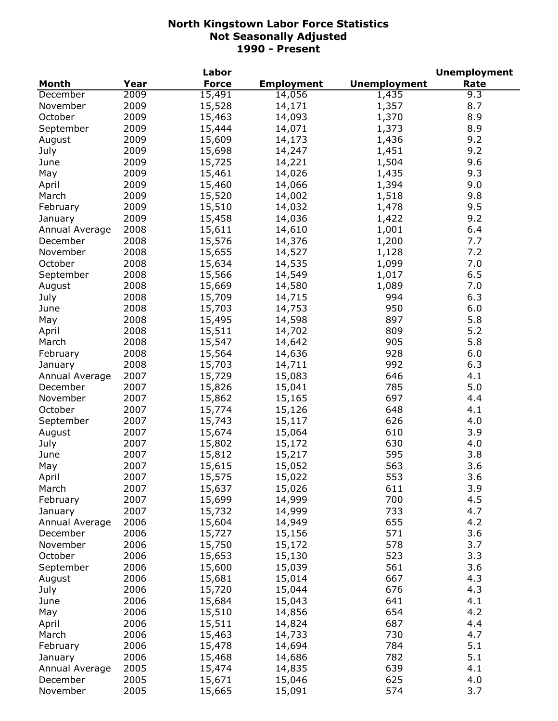|                |      | Labor        |                   |                     | <b>Unemployment</b> |
|----------------|------|--------------|-------------------|---------------------|---------------------|
| <b>Month</b>   | Year | <b>Force</b> | <b>Employment</b> | <b>Unemployment</b> | Rate                |
| December       | 2009 | 15,491       | 14,056            | 1,435               | 9.3                 |
| November       | 2009 | 15,528       | 14,171            | 1,357               | 8.7                 |
| October        | 2009 | 15,463       | 14,093            | 1,370               | 8.9                 |
| September      | 2009 | 15,444       | 14,071            | 1,373               | 8.9                 |
| August         | 2009 | 15,609       | 14,173            | 1,436               | 9.2                 |
| July           | 2009 | 15,698       | 14,247            | 1,451               | 9.2                 |
| June           | 2009 | 15,725       | 14,221            | 1,504               | 9.6                 |
| May            | 2009 | 15,461       | 14,026            | 1,435               | 9.3                 |
| April          | 2009 | 15,460       | 14,066            | 1,394               | 9.0                 |
| March          | 2009 | 15,520       | 14,002            | 1,518               | 9.8                 |
| February       | 2009 | 15,510       | 14,032            | 1,478               | 9.5                 |
| January        | 2009 | 15,458       | 14,036            | 1,422               | 9.2                 |
| Annual Average | 2008 | 15,611       | 14,610            | 1,001               | 6.4                 |
|                | 2008 | 15,576       |                   | 1,200               | 7.7                 |
| December       |      |              | 14,376            |                     | 7.2                 |
| November       | 2008 | 15,655       | 14,527            | 1,128               |                     |
| October        | 2008 | 15,634       | 14,535            | 1,099               | 7.0                 |
| September      | 2008 | 15,566       | 14,549            | 1,017               | 6.5                 |
| August         | 2008 | 15,669       | 14,580            | 1,089               | 7.0                 |
| July           | 2008 | 15,709       | 14,715            | 994                 | 6.3                 |
| June           | 2008 | 15,703       | 14,753            | 950                 | 6.0                 |
| May            | 2008 | 15,495       | 14,598            | 897                 | 5.8                 |
| April          | 2008 | 15,511       | 14,702            | 809                 | 5.2                 |
| March          | 2008 | 15,547       | 14,642            | 905                 | 5.8                 |
| February       | 2008 | 15,564       | 14,636            | 928                 | 6.0                 |
| January        | 2008 | 15,703       | 14,711            | 992                 | 6.3                 |
| Annual Average | 2007 | 15,729       | 15,083            | 646                 | 4.1                 |
| December       | 2007 | 15,826       | 15,041            | 785                 | 5.0                 |
| November       | 2007 | 15,862       | 15,165            | 697                 | 4.4                 |
| October        | 2007 | 15,774       | 15,126            | 648                 | 4.1                 |
| September      | 2007 | 15,743       | 15,117            | 626                 | 4.0                 |
| August         | 2007 | 15,674       | 15,064            | 610                 | 3.9                 |
| July           | 2007 | 15,802       | 15,172            | 630                 | 4.0                 |
| June           | 2007 | 15,812       | 15,217            | 595                 | 3.8                 |
| May            | 2007 | 15,615       | 15,052            | 563                 | 3.6                 |
| April          | 2007 | 15,575       | 15,022            | 553                 | 3.6                 |
| March          | 2007 | 15,637       | 15,026            | 611                 | 3.9                 |
| February       | 2007 | 15,699       | 14,999            | 700                 | 4.5                 |
| January        | 2007 | 15,732       | 14,999            | 733                 | 4.7                 |
| Annual Average | 2006 | 15,604       | 14,949            | 655                 | 4.2                 |
| December       | 2006 | 15,727       | 15,156            | 571                 | 3.6                 |
| November       | 2006 | 15,750       | 15,172            | 578                 | 3.7                 |
| October        | 2006 | 15,653       | 15,130            | 523                 | 3.3                 |
| September      | 2006 | 15,600       | 15,039            | 561                 | 3.6                 |
| August         | 2006 | 15,681       | 15,014            | 667                 | 4.3                 |
|                | 2006 | 15,720       | 15,044            | 676                 | 4.3                 |
| July           | 2006 |              |                   | 641                 | 4.1                 |
| June           |      | 15,684       | 15,043            |                     |                     |
| May            | 2006 | 15,510       | 14,856            | 654                 | 4.2                 |
| April          | 2006 | 15,511       | 14,824            | 687                 | 4.4                 |
| March          | 2006 | 15,463       | 14,733            | 730                 | 4.7                 |
| February       | 2006 | 15,478       | 14,694            | 784                 | 5.1                 |
| January        | 2006 | 15,468       | 14,686            | 782                 | 5.1                 |
| Annual Average | 2005 | 15,474       | 14,835            | 639                 | 4.1                 |
| December       | 2005 | 15,671       | 15,046            | 625                 | 4.0                 |
| November       | 2005 | 15,665       | 15,091            | 574                 | 3.7                 |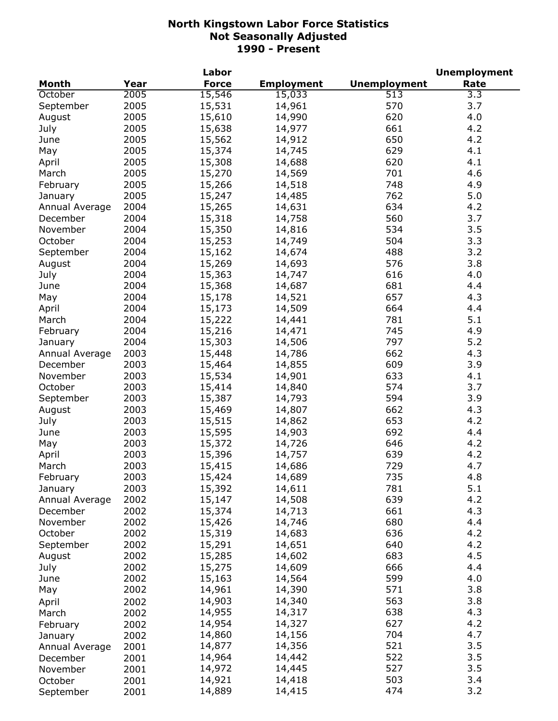|                |      | Labor        |                   |                     | <b>Unemployment</b> |
|----------------|------|--------------|-------------------|---------------------|---------------------|
| <b>Month</b>   | Year | <b>Force</b> | <b>Employment</b> | <b>Unemployment</b> | Rate                |
| October        | 2005 | 15,546       | 15,033            | 513                 | 3.3                 |
| September      | 2005 | 15,531       | 14,961            | 570                 | 3.7                 |
| August         | 2005 | 15,610       | 14,990            | 620                 | 4.0                 |
| July           | 2005 | 15,638       | 14,977            | 661                 | 4.2                 |
| June           | 2005 | 15,562       | 14,912            | 650                 | 4.2                 |
| May            | 2005 | 15,374       | 14,745            | 629                 | 4.1                 |
| April          | 2005 | 15,308       | 14,688            | 620                 | 4.1                 |
| March          | 2005 | 15,270       | 14,569            | 701                 | 4.6                 |
| February       | 2005 | 15,266       | 14,518            | 748                 | 4.9                 |
| January        | 2005 | 15,247       | 14,485            | 762                 | 5.0                 |
| Annual Average | 2004 | 15,265       | 14,631            | 634                 | 4.2                 |
| December       | 2004 | 15,318       | 14,758            | 560                 | 3.7                 |
| November       | 2004 | 15,350       | 14,816            | 534                 | 3.5                 |
| October        | 2004 | 15,253       | 14,749            | 504                 | 3.3                 |
| September      | 2004 | 15,162       | 14,674            | 488                 | 3.2                 |
| August         | 2004 | 15,269       | 14,693            | 576                 | 3.8                 |
| July           | 2004 | 15,363       | 14,747            | 616                 | 4.0                 |
| June           | 2004 | 15,368       | 14,687            | 681                 | 4.4                 |
| May            | 2004 | 15,178       | 14,521            | 657                 | 4.3                 |
| April          | 2004 | 15,173       | 14,509            | 664                 | 4.4                 |
| March          | 2004 | 15,222       | 14,441            | 781                 | 5.1                 |
| February       | 2004 | 15,216       | 14,471            | 745                 | 4.9                 |
| January        | 2004 | 15,303       | 14,506            | 797                 | 5.2                 |
| Annual Average | 2003 | 15,448       | 14,786            | 662                 | 4.3                 |
| December       | 2003 | 15,464       | 14,855            | 609                 | 3.9                 |
| November       | 2003 | 15,534       | 14,901            | 633                 | 4.1                 |
| October        | 2003 | 15,414       | 14,840            | 574                 | 3.7                 |
| September      | 2003 | 15,387       | 14,793            | 594                 | 3.9                 |
| August         | 2003 | 15,469       | 14,807            | 662                 | 4.3                 |
| July           | 2003 | 15,515       | 14,862            | 653                 | 4.2                 |
| June           | 2003 | 15,595       | 14,903            | 692                 | 4.4                 |
| May            | 2003 | 15,372       | 14,726            | 646                 | 4.2                 |
| April          | 2003 | 15,396       | 14,757            | 639                 | 4.2                 |
| March          | 2003 | 15,415       | 14,686            | 729                 | 4.7                 |
| February       | 2003 | 15,424       | 14,689            | 735                 | 4.8                 |
| January        | 2003 | 15,392       | 14,611            | 781                 | 5.1                 |
| Annual Average | 2002 | 15,147       | 14,508            | 639                 | 4.2                 |
| December       | 2002 | 15,374       | 14,713            | 661                 | 4.3                 |
| November       | 2002 | 15,426       | 14,746            | 680                 | 4.4                 |
| October        | 2002 | 15,319       | 14,683            | 636                 | 4.2                 |
| September      | 2002 | 15,291       | 14,651            | 640                 | 4.2                 |
| August         | 2002 | 15,285       | 14,602            | 683                 | 4.5                 |
| July           | 2002 | 15,275       | 14,609            | 666                 | 4.4                 |
| June           | 2002 | 15,163       | 14,564            | 599                 | 4.0                 |
| May            | 2002 | 14,961       | 14,390            | 571                 | 3.8                 |
| April          | 2002 | 14,903       | 14,340            | 563                 | 3.8                 |
| March          | 2002 | 14,955       | 14,317            | 638                 | 4.3                 |
| February       | 2002 | 14,954       | 14,327            | 627                 | 4.2                 |
| January        | 2002 | 14,860       | 14,156            | 704                 | 4.7                 |
| Annual Average | 2001 | 14,877       | 14,356            | 521                 | 3.5                 |
| December       | 2001 | 14,964       | 14,442            | 522                 | 3.5                 |
| November       | 2001 | 14,972       | 14,445            | 527                 | 3.5                 |
| October        | 2001 | 14,921       | 14,418            | 503                 | 3.4                 |
| September      | 2001 | 14,889       | 14,415            | 474                 | 3.2                 |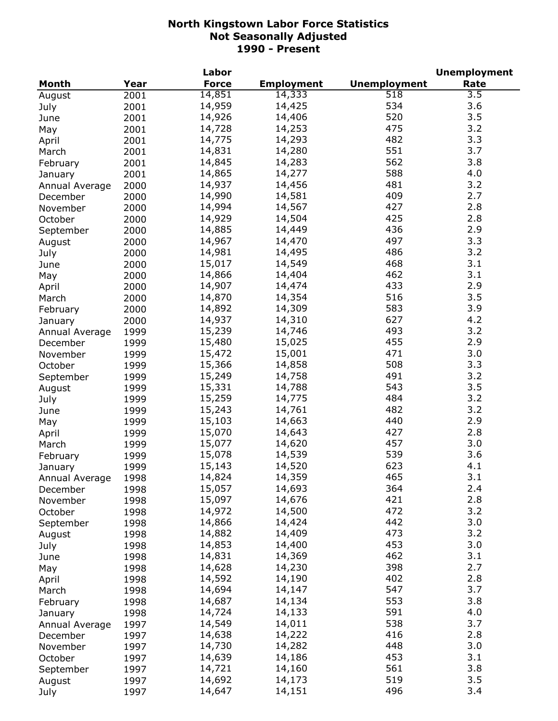|                |      | Labor        |                   |                     | <b>Unemployment</b> |
|----------------|------|--------------|-------------------|---------------------|---------------------|
| <b>Month</b>   | Year | <b>Force</b> | <b>Employment</b> | <b>Unemployment</b> | Rate                |
| August         | 2001 | 14,851       | 14,333            | $\overline{518}$    | $\overline{3.5}$    |
| July           | 2001 | 14,959       | 14,425            | 534                 | 3.6                 |
| June           | 2001 | 14,926       | 14,406            | 520                 | 3.5                 |
| May            | 2001 | 14,728       | 14,253            | 475                 | 3.2                 |
| April          | 2001 | 14,775       | 14,293            | 482                 | 3.3                 |
| March          | 2001 | 14,831       | 14,280            | 551                 | 3.7                 |
| February       | 2001 | 14,845       | 14,283            | 562                 | 3.8                 |
| January        | 2001 | 14,865       | 14,277            | 588                 | 4.0                 |
| Annual Average | 2000 | 14,937       | 14,456            | 481                 | 3.2                 |
| December       | 2000 | 14,990       | 14,581            | 409                 | 2.7                 |
| November       | 2000 | 14,994       | 14,567            | 427                 | 2.8                 |
|                |      | 14,929       | 14,504            | 425                 | 2.8                 |
| October        | 2000 | 14,885       |                   | 436                 | 2.9                 |
| September      | 2000 |              | 14,449            |                     | 3.3                 |
| August         | 2000 | 14,967       | 14,470            | 497                 |                     |
| July           | 2000 | 14,981       | 14,495            | 486                 | 3.2                 |
| June           | 2000 | 15,017       | 14,549            | 468                 | 3.1                 |
| May            | 2000 | 14,866       | 14,404            | 462                 | 3.1                 |
| April          | 2000 | 14,907       | 14,474            | 433                 | 2.9                 |
| March          | 2000 | 14,870       | 14,354            | 516                 | 3.5                 |
| February       | 2000 | 14,892       | 14,309            | 583                 | 3.9                 |
| January        | 2000 | 14,937       | 14,310            | 627                 | 4.2                 |
| Annual Average | 1999 | 15,239       | 14,746            | 493                 | 3.2                 |
| December       | 1999 | 15,480       | 15,025            | 455                 | 2.9                 |
| November       | 1999 | 15,472       | 15,001            | 471                 | 3.0                 |
| October        | 1999 | 15,366       | 14,858            | 508                 | 3.3                 |
| September      | 1999 | 15,249       | 14,758            | 491                 | 3.2                 |
| August         | 1999 | 15,331       | 14,788            | 543                 | 3.5                 |
| July           | 1999 | 15,259       | 14,775            | 484                 | 3.2                 |
| June           | 1999 | 15,243       | 14,761            | 482                 | 3.2                 |
| May            | 1999 | 15,103       | 14,663            | 440                 | 2.9                 |
| April          | 1999 | 15,070       | 14,643            | 427                 | 2.8                 |
| March          | 1999 | 15,077       | 14,620            | 457                 | 3.0                 |
| February       | 1999 | 15,078       | 14,539            | 539                 | 3.6                 |
| January        | 1999 | 15,143       | 14,520            | 623                 | 4.1                 |
| Annual Average | 1998 | 14,824       | 14,359            | 465                 | 3.1                 |
| December       | 1998 | 15,057       | 14,693            | 364                 | 2.4                 |
| November       | 1998 | 15,097       | 14,676            | 421                 | 2.8                 |
| October        | 1998 | 14,972       | 14,500            | 472                 | 3.2                 |
|                |      | 14,866       | 14,424            | 442                 | 3.0                 |
| September      | 1998 | 14,882       | 14,409            | 473                 | 3.2                 |
| August         | 1998 |              |                   | 453                 | 3.0                 |
| July           | 1998 | 14,853       | 14,400            |                     |                     |
| June           | 1998 | 14,831       | 14,369            | 462                 | 3.1                 |
| May            | 1998 | 14,628       | 14,230            | 398                 | 2.7                 |
| April          | 1998 | 14,592       | 14,190            | 402                 | 2.8                 |
| March          | 1998 | 14,694       | 14,147            | 547                 | 3.7                 |
| February       | 1998 | 14,687       | 14,134            | 553                 | 3.8                 |
| January        | 1998 | 14,724       | 14,133            | 591                 | 4.0                 |
| Annual Average | 1997 | 14,549       | 14,011            | 538                 | 3.7                 |
| December       | 1997 | 14,638       | 14,222            | 416                 | 2.8                 |
| November       | 1997 | 14,730       | 14,282            | 448                 | 3.0                 |
| October        | 1997 | 14,639       | 14,186            | 453                 | 3.1                 |
| September      | 1997 | 14,721       | 14,160            | 561                 | 3.8                 |
| August         | 1997 | 14,692       | 14,173            | 519                 | 3.5                 |
| July           | 1997 | 14,647       | 14,151            | 496                 | 3.4                 |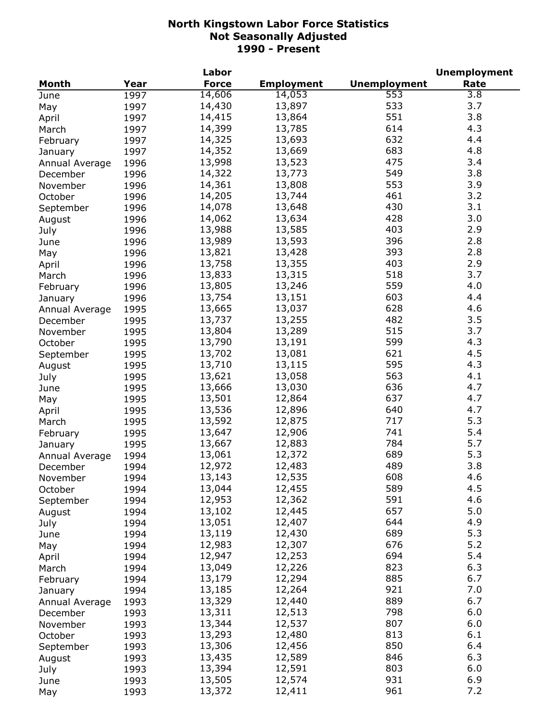|                |      | Labor        |                   |                     | <b>Unemployment</b> |
|----------------|------|--------------|-------------------|---------------------|---------------------|
| <b>Month</b>   | Year | <b>Force</b> | <b>Employment</b> | <b>Unemployment</b> | Rate                |
| June           | 1997 | 14,606       | 14,053            | 553                 | 3.8                 |
| May            | 1997 | 14,430       | 13,897            | 533                 | 3.7                 |
| April          | 1997 | 14,415       | 13,864            | 551                 | 3.8                 |
| March          | 1997 | 14,399       | 13,785            | 614                 | 4.3                 |
| February       | 1997 | 14,325       | 13,693            | 632                 | 4.4                 |
| January        | 1997 | 14,352       | 13,669            | 683                 | 4.8                 |
| Annual Average | 1996 | 13,998       | 13,523            | 475                 | 3.4                 |
|                | 1996 | 14,322       | 13,773            | 549                 | 3.8                 |
| December       |      | 14,361       | 13,808            | 553                 | 3.9                 |
| November       | 1996 | 14,205       | 13,744            | 461                 | 3.2                 |
| October        | 1996 |              |                   |                     |                     |
| September      | 1996 | 14,078       | 13,648            | 430                 | 3.1                 |
| August         | 1996 | 14,062       | 13,634            | 428                 | 3.0                 |
| July           | 1996 | 13,988       | 13,585            | 403                 | 2.9                 |
| June           | 1996 | 13,989       | 13,593            | 396                 | 2.8                 |
| May            | 1996 | 13,821       | 13,428            | 393                 | 2.8                 |
| April          | 1996 | 13,758       | 13,355            | 403                 | 2.9                 |
| March          | 1996 | 13,833       | 13,315            | 518                 | 3.7                 |
| February       | 1996 | 13,805       | 13,246            | 559                 | 4.0                 |
| January        | 1996 | 13,754       | 13,151            | 603                 | 4.4                 |
| Annual Average | 1995 | 13,665       | 13,037            | 628                 | 4.6                 |
| December       | 1995 | 13,737       | 13,255            | 482                 | 3.5                 |
| November       | 1995 | 13,804       | 13,289            | 515                 | 3.7                 |
| October        | 1995 | 13,790       | 13,191            | 599                 | 4.3                 |
| September      | 1995 | 13,702       | 13,081            | 621                 | 4.5                 |
| August         | 1995 | 13,710       | 13,115            | 595                 | 4.3                 |
| July           | 1995 | 13,621       | 13,058            | 563                 | 4.1                 |
| June           | 1995 | 13,666       | 13,030            | 636                 | 4.7                 |
| May            | 1995 | 13,501       | 12,864            | 637                 | 4.7                 |
| April          | 1995 | 13,536       | 12,896            | 640                 | 4.7                 |
| March          | 1995 | 13,592       | 12,875            | 717                 | 5.3                 |
| February       | 1995 | 13,647       | 12,906            | 741                 | 5.4                 |
|                | 1995 | 13,667       | 12,883            | 784                 | 5.7                 |
| January        |      | 13,061       | 12,372            | 689                 | 5.3                 |
| Annual Average | 1994 |              |                   | 489                 | 3.8                 |
| December       | 1994 | 12,972       | 12,483            |                     |                     |
| November       | 1994 | 13,143       | 12,535            | 608                 | 4.6                 |
| October        | 1994 | 13,044       | 12,455            | 589                 | 4.5                 |
| September      | 1994 | 12,953       | 12,362            | 591                 | 4.6                 |
| August         | 1994 | 13,102       | 12,445            | 657                 | 5.0                 |
| July           | 1994 | 13,051       | 12,407            | 644                 | 4.9                 |
| June           | 1994 | 13,119       | 12,430            | 689                 | 5.3                 |
| May            | 1994 | 12,983       | 12,307            | 676                 | 5.2                 |
| April          | 1994 | 12,947       | 12,253            | 694                 | 5.4                 |
| March          | 1994 | 13,049       | 12,226            | 823                 | 6.3                 |
| February       | 1994 | 13,179       | 12,294            | 885                 | 6.7                 |
| January        | 1994 | 13,185       | 12,264            | 921                 | 7.0                 |
| Annual Average | 1993 | 13,329       | 12,440            | 889                 | 6.7                 |
| December       | 1993 | 13,311       | 12,513            | 798                 | 6.0                 |
| November       | 1993 | 13,344       | 12,537            | 807                 | 6.0                 |
| October        | 1993 | 13,293       | 12,480            | 813                 | 6.1                 |
| September      | 1993 | 13,306       | 12,456            | 850                 | 6.4                 |
| August         | 1993 | 13,435       | 12,589            | 846                 | 6.3                 |
| July           | 1993 | 13,394       | 12,591            | 803                 | 6.0                 |
| June           | 1993 | 13,505       | 12,574            | 931                 | 6.9                 |
| May            | 1993 | 13,372       | 12,411            | 961                 | 7.2                 |